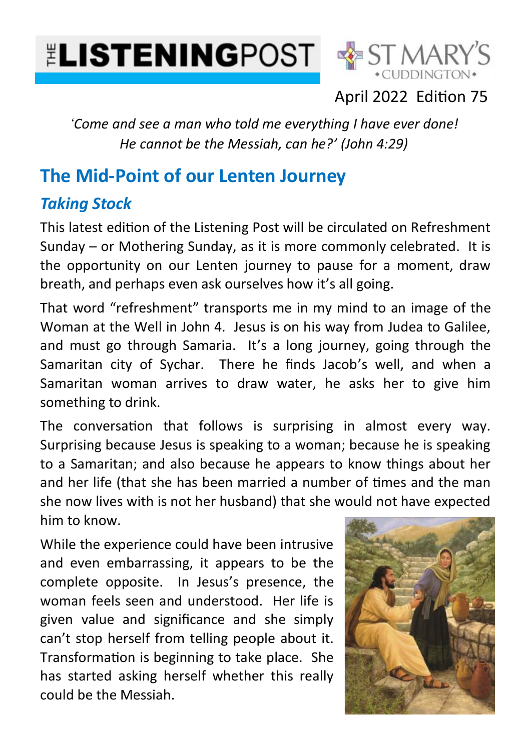# **ELISTENINGPOST & ST MARY**



#### April 2022 Edition 75

*'Come and see a man who told me everything I have ever done! He cannot be the Messiah, can he?' (John 4:29)*

### **The Mid-Point of our Lenten Journey**

#### *Taking Stock*

This latest edition of the Listening Post will be circulated on Refreshment Sunday – or Mothering Sunday, as it is more commonly celebrated. It is the opportunity on our Lenten journey to pause for a moment, draw breath, and perhaps even ask ourselves how it's all going.

That word "refreshment" transports me in my mind to an image of the Woman at the Well in John 4. Jesus is on his way from Judea to Galilee, and must go through Samaria. It's a long journey, going through the Samaritan city of Sychar. There he finds Jacob's well, and when a Samaritan woman arrives to draw water, he asks her to give him something to drink.

The conversation that follows is surprising in almost every way. Surprising because Jesus is speaking to a woman; because he is speaking to a Samaritan; and also because he appears to know things about her and her life (that she has been married a number of times and the man she now lives with is not her husband) that she would not have expected him to know.

While the experience could have been intrusive and even embarrassing, it appears to be the complete opposite. In Jesus's presence, the woman feels seen and understood. Her life is given value and significance and she simply can't stop herself from telling people about it. Transformation is beginning to take place. She has started asking herself whether this really could be the Messiah.

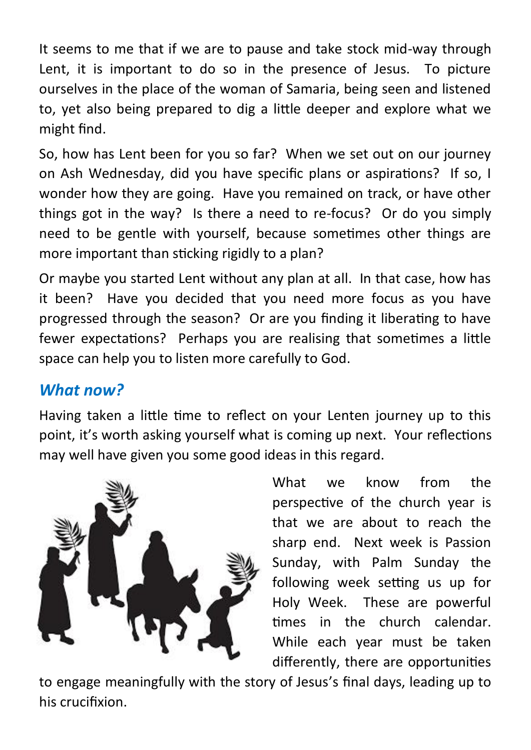It seems to me that if we are to pause and take stock mid-way through Lent, it is important to do so in the presence of Jesus. To picture ourselves in the place of the woman of Samaria, being seen and listened to, yet also being prepared to dig a little deeper and explore what we might find.

So, how has Lent been for you so far? When we set out on our journey on Ash Wednesday, did you have specific plans or aspirations? If so, I wonder how they are going. Have you remained on track, or have other things got in the way? Is there a need to re-focus? Or do you simply need to be gentle with yourself, because sometimes other things are more important than sticking rigidly to a plan?

Or maybe you started Lent without any plan at all. In that case, how has it been? Have you decided that you need more focus as you have progressed through the season? Or are you finding it liberating to have fewer expectations? Perhaps you are realising that sometimes a little space can help you to listen more carefully to God.

#### *What now?*

Having taken a little time to reflect on your Lenten journey up to this point, it's worth asking yourself what is coming up next. Your reflections may well have given you some good ideas in this regard.



What we know from the perspective of the church year is that we are about to reach the sharp end. Next week is Passion Sunday, with Palm Sunday the following week setting us up for Holy Week. These are powerful times in the church calendar. While each year must be taken differently, there are opportunities

to engage meaningfully with the story of Jesus's final days, leading up to his crucifixion.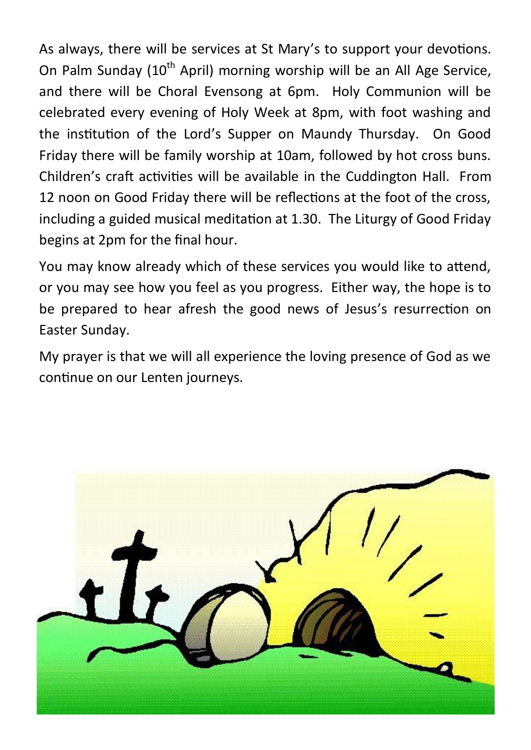As always, there will be services at St Mary's to support your devotions. On Palm Sunday  $(10<sup>th</sup>$  April) morning worship will be an All Age Service, and there will be Choral Evensong at 6pm. Holy Communion will be celebrated every evening of Holy Week at 8pm, with foot washing and the institution of the Lord's Supper on Maundy Thursday. On Good Friday there will be family worship at 10am, followed by hot cross buns. Children's craft activities will be available in the Cuddington Hall. From 12 noon on Good Friday there will be reflections at the foot of the cross, including a guided musical meditation at 1.30. The Liturgy of Good Friday begins at 2pm for the final hour.

You may know already which of these services you would like to attend, or you may see how you feel as you progress. Either way, the hope is to be prepared to hear afresh the good news of Jesus's resurrection on Easter Sunday.

My prayer is that we will all experience the loving presence of God as we continue on our Lenten journeys.